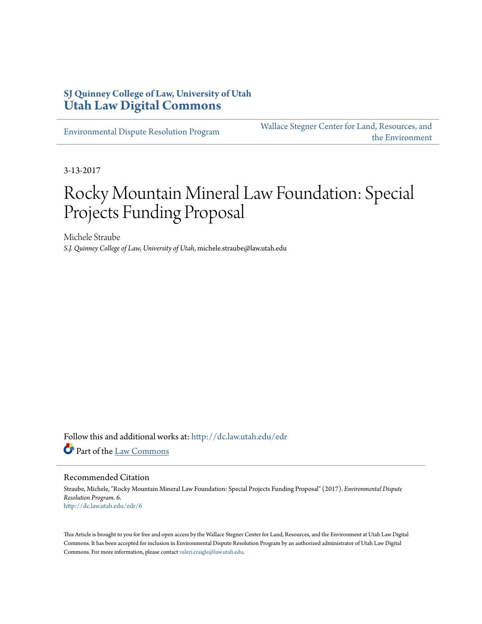# **SJ Quinney College of Law, University of Utah [Utah Law Digital Commons](http://dc.law.utah.edu?utm_source=dc.law.utah.edu%2Fedr%2F6&utm_medium=PDF&utm_campaign=PDFCoverPages)**

[Environmental Dispute Resolution Program](http://dc.law.utah.edu/edr?utm_source=dc.law.utah.edu%2Fedr%2F6&utm_medium=PDF&utm_campaign=PDFCoverPages)

[Wallace Stegner Center for Land, Resources, and](http://dc.law.utah.edu/stegner?utm_source=dc.law.utah.edu%2Fedr%2F6&utm_medium=PDF&utm_campaign=PDFCoverPages) [the Environment](http://dc.law.utah.edu/stegner?utm_source=dc.law.utah.edu%2Fedr%2F6&utm_medium=PDF&utm_campaign=PDFCoverPages)

3-13-2017

# Rocky Mountain Mineral Law Foundation: Special Projects Funding Proposal

Michele Straube *S.J. Quinney College of Law, University of Utah*, michele.straube@law.utah.edu

Follow this and additional works at: [http://dc.law.utah.edu/edr](http://dc.law.utah.edu/edr?utm_source=dc.law.utah.edu%2Fedr%2F6&utm_medium=PDF&utm_campaign=PDFCoverPages) Part of the [Law Commons](http://network.bepress.com/hgg/discipline/578?utm_source=dc.law.utah.edu%2Fedr%2F6&utm_medium=PDF&utm_campaign=PDFCoverPages)

#### Recommended Citation

Straube, Michele, "Rocky Mountain Mineral Law Foundation: Special Projects Funding Proposal" (2017). *Environmental Dispute Resolution Program*. 6. [http://dc.law.utah.edu/edr/6](http://dc.law.utah.edu/edr/6?utm_source=dc.law.utah.edu%2Fedr%2F6&utm_medium=PDF&utm_campaign=PDFCoverPages)

This Article is brought to you for free and open access by the Wallace Stegner Center for Land, Resources, and the Environment at Utah Law Digital Commons. It has been accepted for inclusion in Environmental Dispute Resolution Program by an authorized administrator of Utah Law Digital Commons. For more information, please contact [valeri.craigle@law.utah.edu](mailto:valeri.craigle@law.utah.edu).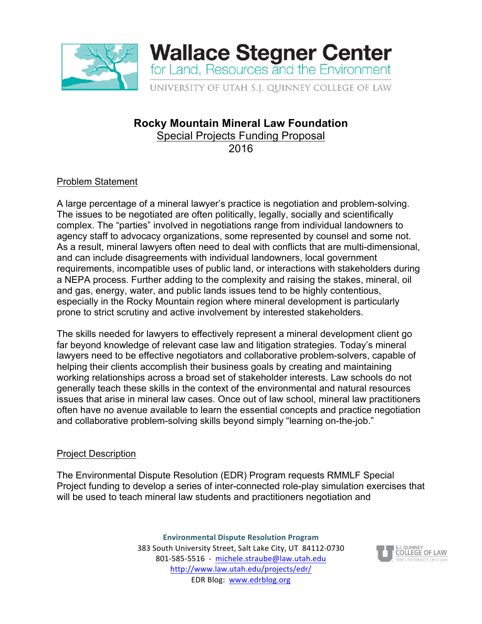

# **Rocky Mountain Mineral Law Foundation**

Special Projects Funding Proposal

2016

# Problem Statement

A large percentage of a mineral lawyer's practice is negotiation and problem-solving. The issues to be negotiated are often politically, legally, socially and scientifically complex. The "parties" involved in negotiations range from individual landowners to agency staff to advocacy organizations, some represented by counsel and some not. As a result, mineral lawyers often need to deal with conflicts that are multi-dimensional, and can include disagreements with individual landowners, local government requirements, incompatible uses of public land, or interactions with stakeholders during a NEPA process. Further adding to the complexity and raising the stakes, mineral, oil and gas, energy, water, and public lands issues tend to be highly contentious, especially in the Rocky Mountain region where mineral development is particularly prone to strict scrutiny and active involvement by interested stakeholders.

The skills needed for lawyers to effectively represent a mineral development client go far beyond knowledge of relevant case law and litigation strategies. Today's mineral lawyers need to be effective negotiators and collaborative problem-solvers, capable of helping their clients accomplish their business goals by creating and maintaining working relationships across a broad set of stakeholder interests. Law schools do not generally teach these skills in the context of the environmental and natural resources issues that arise in mineral law cases. Once out of law school, mineral law practitioners often have no avenue available to learn the essential concepts and practice negotiation and collaborative problem-solving skills beyond simply "learning on-the-job."

## Project Description

The Environmental Dispute Resolution (EDR) Program requests RMMLF Special Project funding to develop a series of inter-connected role-play simulation exercises that will be used to teach mineral law students and practitioners negotiation and

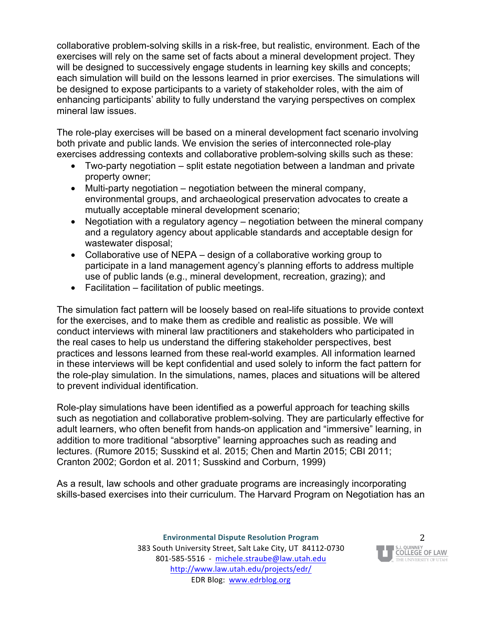collaborative problem-solving skills in a risk-free, but realistic, environment. Each of the exercises will rely on the same set of facts about a mineral development project. They will be designed to successively engage students in learning key skills and concepts; each simulation will build on the lessons learned in prior exercises. The simulations will be designed to expose participants to a variety of stakeholder roles, with the aim of enhancing participants' ability to fully understand the varying perspectives on complex mineral law issues.

The role-play exercises will be based on a mineral development fact scenario involving both private and public lands. We envision the series of interconnected role-play exercises addressing contexts and collaborative problem-solving skills such as these:

- Two-party negotiation split estate negotiation between a landman and private property owner;
- Multi-party negotiation negotiation between the mineral company, environmental groups, and archaeological preservation advocates to create a mutually acceptable mineral development scenario;
- Negotiation with a regulatory agency negotiation between the mineral company and a regulatory agency about applicable standards and acceptable design for wastewater disposal;
- Collaborative use of NEPA design of a collaborative working group to participate in a land management agency's planning efforts to address multiple use of public lands (e.g., mineral development, recreation, grazing); and
- Facilitation facilitation of public meetings.

The simulation fact pattern will be loosely based on real-life situations to provide context for the exercises, and to make them as credible and realistic as possible. We will conduct interviews with mineral law practitioners and stakeholders who participated in the real cases to help us understand the differing stakeholder perspectives, best practices and lessons learned from these real-world examples. All information learned in these interviews will be kept confidential and used solely to inform the fact pattern for the role-play simulation. In the simulations, names, places and situations will be altered to prevent individual identification.

Role-play simulations have been identified as a powerful approach for teaching skills such as negotiation and collaborative problem-solving. They are particularly effective for adult learners, who often benefit from hands-on application and "immersive" learning, in addition to more traditional "absorptive" learning approaches such as reading and lectures. (Rumore 2015; Susskind et al. 2015; Chen and Martin 2015; CBI 2011; Cranton 2002; Gordon et al. 2011; Susskind and Corburn, 1999)

As a result, law schools and other graduate programs are increasingly incorporating skills-based exercises into their curriculum. The Harvard Program on Negotiation has an

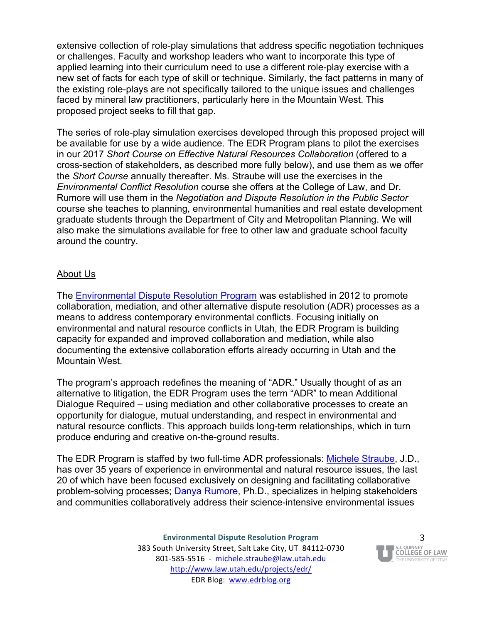extensive collection of role-play simulations that address specific negotiation techniques or challenges. Faculty and workshop leaders who want to incorporate this type of applied learning into their curriculum need to use a different role-play exercise with a new set of facts for each type of skill or technique. Similarly, the fact patterns in many of the existing role-plays are not specifically tailored to the unique issues and challenges faced by mineral law practitioners, particularly here in the Mountain West. This proposed project seeks to fill that gap.

The series of role-play simulation exercises developed through this proposed project will be available for use by a wide audience. The EDR Program plans to pilot the exercises in our 2017 *Short Course on Effective Natural Resources Collaboration* (offered to a cross-section of stakeholders, as described more fully below), and use them as we offer the *Short Course* annually thereafter. Ms. Straube will use the exercises in the *Environmental Conflict Resolution* course she offers at the College of Law, and Dr. Rumore will use them in the *Negotiation and Dispute Resolution in the Public Sector*  course she teaches to planning, environmental humanities and real estate development graduate students through the Department of City and Metropolitan Planning. We will also make the simulations available for free to other law and graduate school faculty around the country.

#### About Us

The [Environmental Dispute Resolution Program](http://www.law.utah.edu/projects/edr/) was established in 2012 to promote collaboration, mediation, and other alternative dispute resolution (ADR) processes as a means to address contemporary environmental conflicts. Focusing initially on environmental and natural resource conflicts in Utah, the EDR Program is building capacity for expanded and improved collaboration and mediation, while also documenting the extensive collaboration efforts already occurring in Utah and the Mountain West.

The program's approach redefines the meaning of "ADR." Usually thought of as an alternative to litigation, the EDR Program uses the term "ADR" to mean Additional Dialogue Required – using mediation and other collaborative processes to create an opportunity for dialogue, mutual understanding, and respect in environmental and natural resource conflicts. This approach builds long-term relationships, which in turn produce enduring and creative on-the-ground results.

The EDR Program is staffed by two full-time ADR professionals: [Michele Straube,](https://faculty.utah.edu/u0168267-MICHELE_MARGARET_STRAUBE/biography/index.hml) J.D., has over 35 years of experience in environmental and natural resource issues, the last 20 of which have been focused exclusively on designing and facilitating collaborative problem-solving processes; [Danya Rumore](https://faculty.utah.edu/u6000993-DANYA_LEE_RUMORE/biography/index.hml), Ph.D., specializes in helping stakeholders and communities collaboratively address their science-intensive environmental issues

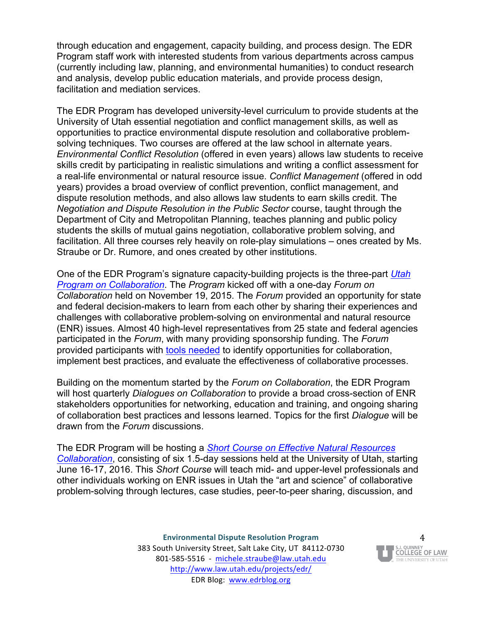through education and engagement, capacity building, and process design. The EDR Program staff work with interested students from various departments across campus (currently including law, planning, and environmental humanities) to conduct research and analysis, develop public education materials, and provide process design, facilitation and mediation services.

The EDR Program has developed university-level curriculum to provide students at the University of Utah essential negotiation and conflict management skills, as well as opportunities to practice environmental dispute resolution and collaborative problemsolving techniques. Two courses are offered at the law school in alternate years. *Environmental Conflict Resolution* (offered in even years) allows law students to receive skills credit by participating in realistic simulations and writing a conflict assessment for a real-life environmental or natural resource issue. *Conflict Management* (offered in odd years) provides a broad overview of conflict prevention, conflict management, and dispute resolution methods, and also allows law students to earn skills credit. The *Negotiation and Dispute Resolution in the Public Sector* course, taught through the Department of City and Metropolitan Planning, teaches planning and public policy students the skills of mutual gains negotiation, collaborative problem solving, and facilitation. All three courses rely heavily on role-play simulations – ones created by Ms. Straube or Dr. Rumore, and ones created by other institutions.

One of the EDR Program's signature capacity-building projects is the three-part *[Utah](http://www.law.utah.edu/projects/edr/ut-program-on-collaboration/)  [Program on Collaboration](http://www.law.utah.edu/projects/edr/ut-program-on-collaboration/)*. The *Program* kicked off with a one-day *Forum on Collaboration* held on November 19, 2015. The *Forum* provided an opportunity for state and federal decision-makers to learn from each other by sharing their experiences and challenges with collaborative problem-solving on environmental and natural resource (ENR) issues. Almost 40 high-level representatives from 25 state and federal agencies participated in the *Forum*, with many providing sponsorship funding. The *Forum* provided participants with [tools needed](https://app.box.com/s/w71nayu8mcmqgdsnmyskni7hmx9rrxtx) to identify opportunities for collaboration, implement best practices, and evaluate the effectiveness of collaborative processes.

Building on the momentum started by the *Forum on Collaboration*, the EDR Program will host quarterly *Dialogues on Collaboration* to provide a broad cross-section of ENR stakeholders opportunities for networking, education and training, and ongoing sharing of collaboration best practices and lessons learned. Topics for the first *Dialogue* will be drawn from the *Forum* discussions.

The EDR Program will be hosting a *[Short Course on Effective Natural Resources](https://app.box.com/s/1b4qm2ueiml2ct7fl8aohv5a1ziick2e) [Collaboration](https://app.box.com/s/1b4qm2ueiml2ct7fl8aohv5a1ziick2e)*, consisting of six 1.5-day sessions held at the University of Utah, starting June 16-17, 2016. This *Short Course* will teach mid- and upper-level professionals and other individuals working on ENR issues in Utah the "art and science" of collaborative problem-solving through lectures, case studies, peer-to-peer sharing, discussion, and